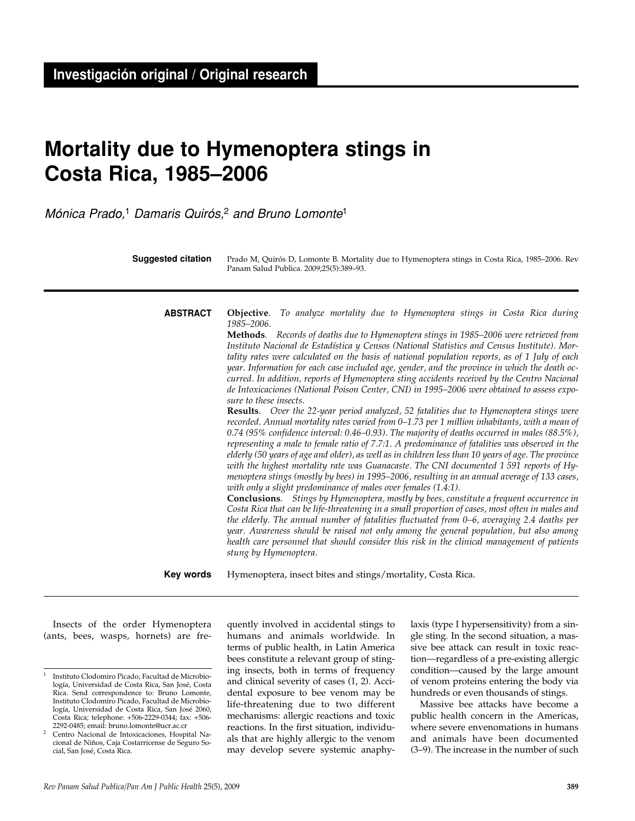# **Mortality due to Hymenoptera stings in Costa Rica, 1985–2006**

Mónica Prado,<sup>1</sup> Damaris Quirós,<sup>2</sup> and Bruno Lomonte<sup>1</sup>

**Objective**. *To analyze mortality due to Hymenoptera stings in Costa Rica during 1985–2006.* **Methods**. *Records of deaths due to Hymenoptera stings in 1985–2006 were retrieved from Instituto Nacional de Estadística y Censos (National Statistics and Census Institute). Mortality rates were calculated on the basis of national population reports, as of 1 July of each year. Information for each case included age, gender, and the province in which the death occurred. In addition, reports of Hymenoptera sting accidents received by the Centro Nacional de Intoxicaciones (National Poison Center, CNI) in 1995–2006 were obtained to assess exposure to these insects.* **Results**. *Over the 22-year period analyzed, 52 fatalities due to Hymenoptera stings were recorded. Annual mortality rates varied from 0–1.73 per 1 million inhabitants, with a mean of 0.74 (95% confidence interval: 0.46–0.93). The majority of deaths occurred in males (88.5%), representing a male to female ratio of 7.7:1. A predominance of fatalities was observed in the elderly (50 years of age and older), as well as in children less than 10 years of age. The province with the highest mortality rate was Guanacaste. The CNI documented 1 591 reports of Hymenoptera stings (mostly by bees) in 1995–2006, resulting in an annual average of 133 cases, with only a slight predominance of males over females (1.4:1).* **Conclusions**. *Stings by Hymenoptera, mostly by bees, constitute a frequent occurrence in Costa Rica that can be life-threatening in a small proportion of cases, most often in males and the elderly. The annual number of fatalities fluctuated from 0–6, averaging 2.4 deaths per year. Awareness should be raised not only among the general population, but also among health care personnel that should consider this risk in the clinical management of patients stung by Hymenoptera.* Hymenoptera, insect bites and stings/mortality, Costa Rica. **ABSTRACT Key words** Prado M, Quirós D, Lomonte B. Mortality due to Hymenoptera stings in Costa Rica, 1985–2006. Rev Panam Salud Publica. 2009;25(5):389–93. **Suggested citation**

Insects of the order Hymenoptera (ants, bees, wasps, hornets) are frequently involved in accidental stings to humans and animals worldwide. In terms of public health, in Latin America bees constitute a relevant group of stinging insects, both in terms of frequency and clinical severity of cases (1, 2). Accidental exposure to bee venom may be life-threatening due to two different mechanisms: allergic reactions and toxic reactions. In the first situation, individuals that are highly allergic to the venom may develop severe systemic anaphylaxis (type I hypersensitivity) from a single sting. In the second situation, a massive bee attack can result in toxic reaction—regardless of a pre-existing allergic condition—caused by the large amount of venom proteins entering the body via hundreds or even thousands of stings.

Massive bee attacks have become a public health concern in the Americas, where severe envenomations in humans and animals have been documented (3–9). The increase in the number of such

<sup>1</sup> Instituto Clodomiro Picado, Facultad de Microbiología, Universidad de Costa Rica, San José, Costa Rica. Send correspondence to: Bruno Lomonte, Instituto Clodomiro Picado, Facultad de Microbiología, Universidad de Costa Rica, San José 2060, Costa Rica; telephone: +506-2229-0344; fax: +506- 2292-0485; email: bruno.lomonte@ucr.ac.cr

Centro Nacional de Intoxicaciones, Hospital Nacional de Niños, Caja Costarricense de Seguro Social, San José, Costa Rica.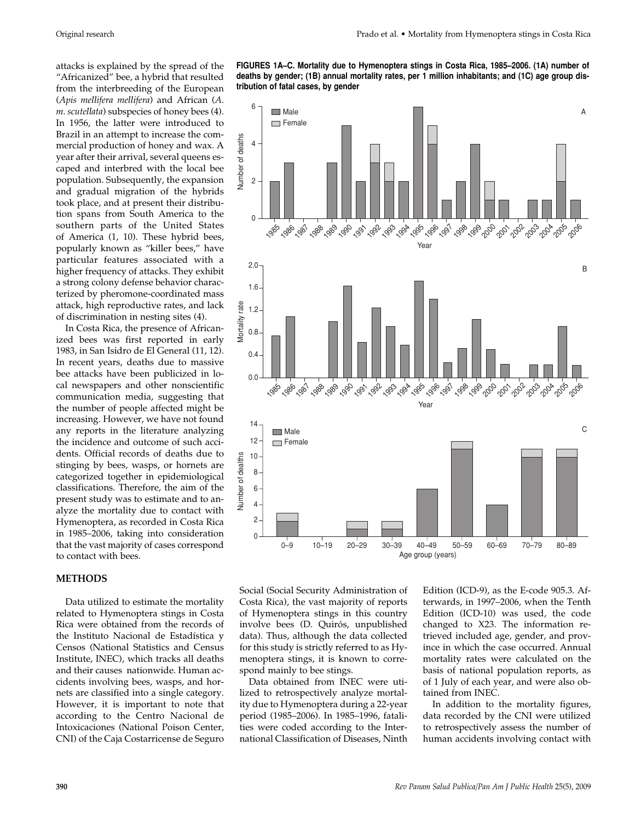attacks is explained by the spread of the "Africanized" bee, a hybrid that resulted from the interbreeding of the European (*Apis mellifera mellifera*) and African (*A. m. scutellata*) subspecies of honey bees (4). In 1956, the latter were introduced to Brazil in an attempt to increase the commercial production of honey and wax. A year after their arrival, several queens escaped and interbred with the local bee population. Subsequently, the expansion and gradual migration of the hybrids took place, and at present their distribution spans from South America to the southern parts of the United States of America (1, 10). These hybrid bees, popularly known as "killer bees," have particular features associated with a higher frequency of attacks. They exhibit a strong colony defense behavior characterized by pheromone-coordinated mass attack, high reproductive rates, and lack of discrimination in nesting sites (4).

In Costa Rica, the presence of Africanized bees was first reported in early 1983, in San Isidro de El General (11, 12). In recent years, deaths due to massive bee attacks have been publicized in local newspapers and other nonscientific communication media, suggesting that the number of people affected might be increasing. However, we have not found any reports in the literature analyzing the incidence and outcome of such accidents. Official records of deaths due to stinging by bees, wasps, or hornets are categorized together in epidemiological classifications. Therefore, the aim of the present study was to estimate and to analyze the mortality due to contact with Hymenoptera, as recorded in Costa Rica in 1985–2006, taking into consideration that the vast majority of cases correspond to contact with bees.

#### **METHODS**

Data utilized to estimate the mortality related to Hymenoptera stings in Costa Rica were obtained from the records of the Instituto Nacional de Estadística y Censos (National Statistics and Census Institute, INEC), which tracks all deaths and their causes nationwide. Human accidents involving bees, wasps, and hornets are classified into a single category. However, it is important to note that according to the Centro Nacional de Intoxicaciones (National Poison Center, CNI) of the Caja Costarricense de Seguro

**deaths by gender; (1B) annual mortality rates, per 1 million inhabitants; and (1C) age group distribution of fatal cases, by gender**



Social (Social Security Administration of Costa Rica), the vast majority of reports of Hymenoptera stings in this country involve bees (D. Quirós, unpublished data). Thus, although the data collected for this study is strictly referred to as Hymenoptera stings, it is known to correspond mainly to bee stings.

Data obtained from INEC were utilized to retrospectively analyze mortality due to Hymenoptera during a 22-year period (1985–2006). In 1985–1996, fatalities were coded according to the International Classification of Diseases, Ninth Edition (ICD-9), as the E-code 905.3. Afterwards, in 1997–2006, when the Tenth Edition (ICD-10) was used, the code changed to X23. The information retrieved included age, gender, and province in which the case occurred. Annual mortality rates were calculated on the basis of national population reports, as of 1 July of each year, and were also obtained from INEC.

In addition to the mortality figures, data recorded by the CNI were utilized to retrospectively assess the number of human accidents involving contact with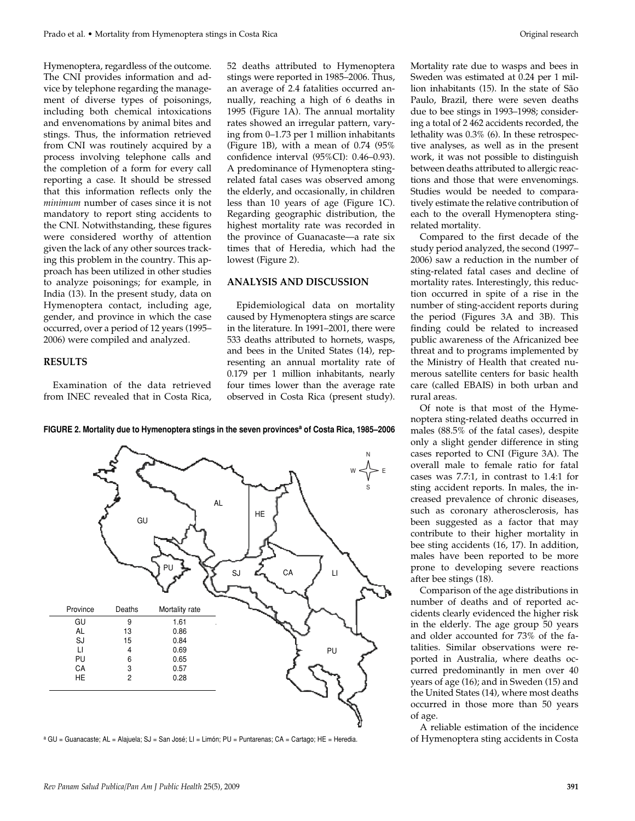Hymenoptera, regardless of the outcome. The CNI provides information and advice by telephone regarding the management of diverse types of poisonings, including both chemical intoxications and envenomations by animal bites and stings. Thus, the information retrieved from CNI was routinely acquired by a process involving telephone calls and the completion of a form for every call reporting a case. It should be stressed that this information reflects only the *minimum* number of cases since it is not mandatory to report sting accidents to the CNI. Notwithstanding, these figures were considered worthy of attention given the lack of any other sources tracking this problem in the country. This approach has been utilized in other studies to analyze poisonings; for example, in India (13). In the present study, data on Hymenoptera contact, including age, gender, and province in which the case occurred, over a period of 12 years (1995– 2006) were compiled and analyzed.

#### **RESULTS**

Examination of the data retrieved from INEC revealed that in Costa Rica, 52 deaths attributed to Hymenoptera stings were reported in 1985–2006. Thus, an average of 2.4 fatalities occurred annually, reaching a high of 6 deaths in 1995 (Figure 1A). The annual mortality rates showed an irregular pattern, varying from 0–1.73 per 1 million inhabitants (Figure 1B), with a mean of 0.74 (95% confidence interval (95%CI): 0.46–0.93). A predominance of Hymenoptera stingrelated fatal cases was observed among the elderly, and occasionally, in children less than 10 years of age (Figure 1C). Regarding geographic distribution, the highest mortality rate was recorded in the province of Guanacaste—a rate six times that of Heredia, which had the lowest (Figure 2).

## **ANALYSIS AND DISCUSSION**

Epidemiological data on mortality caused by Hymenoptera stings are scarce in the literature. In 1991–2001, there were 533 deaths attributed to hornets, wasps, and bees in the United States (14), representing an annual mortality rate of 0.179 per 1 million inhabitants, nearly four times lower than the average rate observed in Costa Rica (present study).

Mortality rate due to wasps and bees in Sweden was estimated at 0.24 per 1 million inhabitants (15). In the state of São Paulo, Brazil, there were seven deaths due to bee stings in 1993–1998; considering a total of 2 462 accidents recorded, the lethality was 0.3% (6). In these retrospective analyses, as well as in the present work, it was not possible to distinguish between deaths attributed to allergic reactions and those that were envenomings. Studies would be needed to comparatively estimate the relative contribution of each to the overall Hymenoptera stingrelated mortality.

study period analyzed, the second (1997– 2006) saw a reduction in the number of sting-related fatal cases and decline of mortality rates. Interestingly, this reduction occurred in spite of a rise in the number of sting-accident reports during the period (Figures 3A and 3B). This finding could be related to increased public awareness of the Africanized bee threat and to programs implemented by the Ministry of Health that created numerous satellite centers for basic health care (called EBAIS) in both urban and rural areas.

Of note is that most of the Hymenoptera sting-related deaths occurred in males (88.5% of the fatal cases), despite only a slight gender difference in sting cases reported to CNI (Figure 3A). The overall male to female ratio for fatal cases was 7.7:1, in contrast to 1.4:1 for sting accident reports. In males, the increased prevalence of chronic diseases, such as coronary atherosclerosis, has been suggested as a factor that may contribute to their higher mortality in bee sting accidents (16, 17). In addition, males have been reported to be more prone to developing severe reactions after bee stings (18).

Comparison of the age distributions in number of deaths and of reported accidents clearly evidenced the higher risk in the elderly. The age group 50 years and older accounted for 73% of the fatalities. Similar observations were reported in Australia, where deaths occurred predominantly in men over 40 years of age (16); and in Sweden (15) and the United States (14), where most deaths occurred in those more than 50 years of age.

A reliable estimation of the incidence of Hymenoptera sting accidents in Costa





Compared to the first decade of the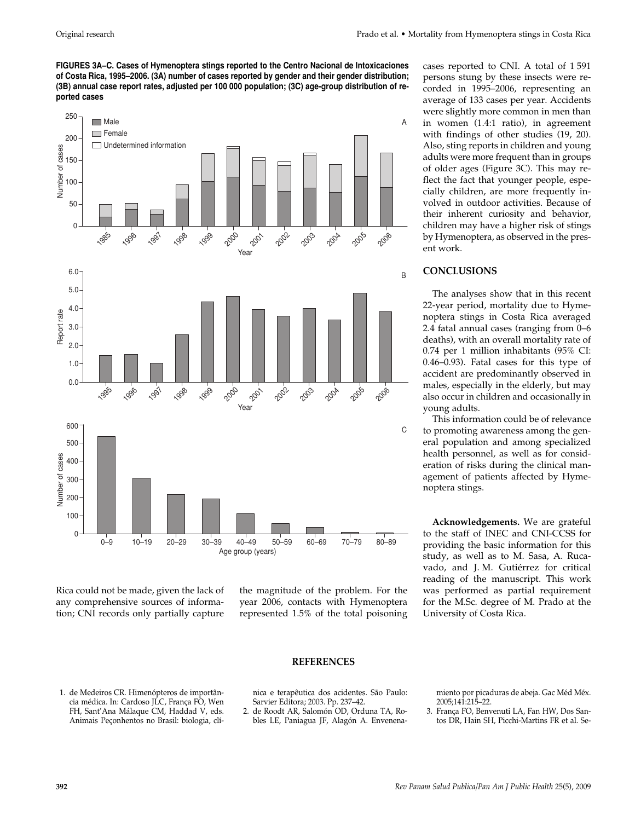**FIGURES 3A–C. Cases of Hymenoptera stings reported to the Centro Nacional de Intoxicaciones of Costa Rica, 1995–2006. (3A) number of cases reported by gender and their gender distribution; (3B) annual case report rates, adjusted per 100 000 population; (3C) age-group distribution of reported cases**



Rica could not be made, given the lack of any comprehensive sources of information; CNI records only partially capture

the magnitude of the problem. For the year 2006, contacts with Hymenoptera represented 1.5% of the total poisoning persons stung by these insects were recorded in 1995–2006, representing an average of 133 cases per year. Accidents were slightly more common in men than in women (1.4:1 ratio), in agreement with findings of other studies (19, 20). Also, sting reports in children and young adults were more frequent than in groups of older ages (Figure 3C). This may reflect the fact that younger people, especially children, are more frequently involved in outdoor activities. Because of their inherent curiosity and behavior, children may have a higher risk of stings by Hymenoptera, as observed in the present work.

cases reported to CNI. A total of 1 591

# **CONCLUSIONS**

The analyses show that in this recent 22-year period, mortality due to Hymenoptera stings in Costa Rica averaged 2.4 fatal annual cases (ranging from 0–6 deaths), with an overall mortality rate of 0.74 per 1 million inhabitants (95% CI: 0.46–0.93). Fatal cases for this type of accident are predominantly observed in males, especially in the elderly, but may also occur in children and occasionally in young adults.

This information could be of relevance to promoting awareness among the general population and among specialized health personnel, as well as for consideration of risks during the clinical management of patients affected by Hymenoptera stings.

**Acknowledgements.** We are grateful to the staff of INEC and CNI-CCSS for providing the basic information for this study, as well as to M. Sasa, A. Rucavado, and J. M. Gutiérrez for critical reading of the manuscript. This work was performed as partial requirement for the M.Sc. degree of M. Prado at the University of Costa Rica.

- 1. de Medeiros CR. Himenópteros de importân-
- cia médica. In: Cardoso JLC, França FO, Wen FH, Sant'Ana Málaque CM, Haddad V, eds. Animais Peçonhentos no Brasil: biologia, clí-

# **REFERENCES**

nica e terapêutica dos acidentes. São Paulo: Sarvier Editora; 2003. Pp. 237–42.

2. de Roodt AR, Salomón OD, Orduna TA, Robles LE, Paniagua JF, Alagón A. Envenenamiento por picaduras de abeja. Gac Méd Méx. 2005;141:215–22.

3. França FO, Benvenuti LA, Fan HW, Dos Santos DR, Hain SH, Picchi-Martins FR et al. Se